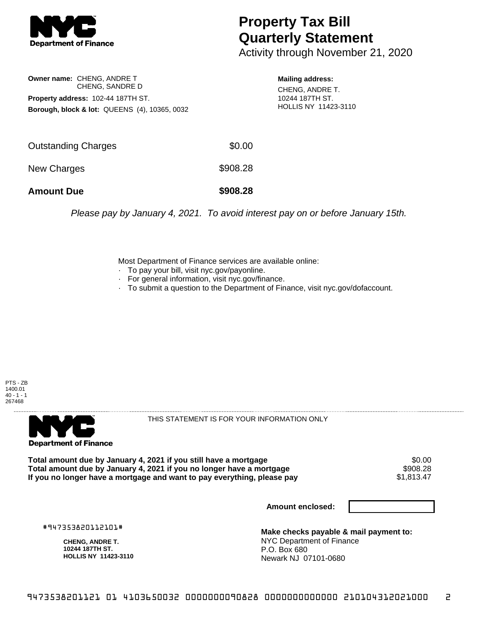

## **Property Tax Bill Quarterly Statement**

Activity through November 21, 2020

**Owner name:** CHENG, ANDRE T CHENG, SANDRE D **Property address:** 102-44 187TH ST. **Borough, block & lot:** QUEENS (4), 10365, 0032 **Mailing address:**

CHENG, ANDRE T. 10244 187TH ST. HOLLIS NY 11423-3110

| <b>Amount Due</b>          | \$908.28 |
|----------------------------|----------|
| New Charges                | \$908.28 |
| <b>Outstanding Charges</b> | \$0.00   |

Please pay by January 4, 2021. To avoid interest pay on or before January 15th.

Most Department of Finance services are available online:

- · To pay your bill, visit nyc.gov/payonline.
- For general information, visit nyc.gov/finance.
- · To submit a question to the Department of Finance, visit nyc.gov/dofaccount.





THIS STATEMENT IS FOR YOUR INFORMATION ONLY

Total amount due by January 4, 2021 if you still have a mortgage \$0.00<br>Total amount due by January 4, 2021 if you no longer have a mortgage \$908.28 **Total amount due by January 4, 2021 if you no longer have a mortgage \$908.28**<br>If you no longer have a mortgage and want to pay everything, please pay \$1,813.47 If you no longer have a mortgage and want to pay everything, please pay

**Amount enclosed:**

#947353820112101#

**CHENG, ANDRE T. 10244 187TH ST. HOLLIS NY 11423-3110**

**Make checks payable & mail payment to:** NYC Department of Finance P.O. Box 680 Newark NJ 07101-0680